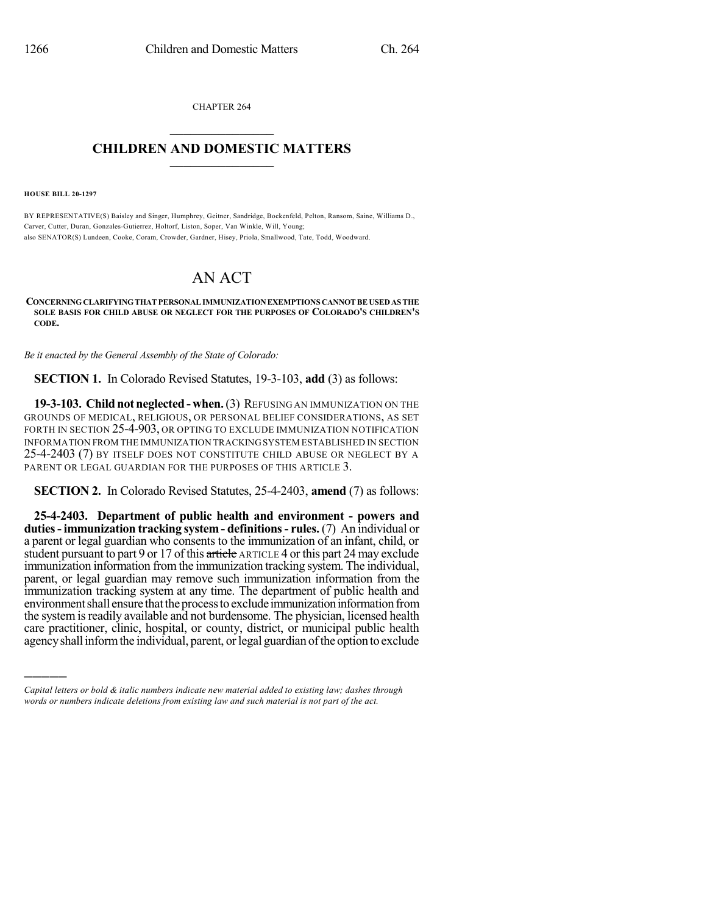CHAPTER 264  $\overline{\phantom{a}}$  . The set of the set of the set of the set of the set of the set of the set of the set of the set of the set of the set of the set of the set of the set of the set of the set of the set of the set of the set o

## **CHILDREN AND DOMESTIC MATTERS**  $\_$

**HOUSE BILL 20-1297**

)))))

BY REPRESENTATIVE(S) Baisley and Singer, Humphrey, Geitner, Sandridge, Bockenfeld, Pelton, Ransom, Saine, Williams D., Carver, Cutter, Duran, Gonzales-Gutierrez, Holtorf, Liston, Soper, Van Winkle, Will, Young; also SENATOR(S) Lundeen, Cooke, Coram, Crowder, Gardner, Hisey, Priola, Smallwood, Tate, Todd, Woodward.

## AN ACT

**CONCERNINGCLARIFYINGTHATPERSONALIMMUNIZATIONEXEMPTIONS CANNOTBE USEDAS THE SOLE BASIS FOR CHILD ABUSE OR NEGLECT FOR THE PURPOSES OF COLORADO'S CHILDREN'S CODE.**

*Be it enacted by the General Assembly of the State of Colorado:*

**SECTION 1.** In Colorado Revised Statutes, 19-3-103, **add** (3) as follows:

**19-3-103. Childnot neglected- when.**(3) REFUSING AN IMMUNIZATION ON THE GROUNDS OF MEDICAL, RELIGIOUS, OR PERSONAL BELIEF CONSIDERATIONS, AS SET FORTH IN SECTION 25-4-903, OR OPTING TO EXCLUDE IMMUNIZATION NOTIFICATION INFORMATION FROM THE IMMUNIZATION TRACKINGSYSTEM ESTABLISHED IN SECTION 25-4-2403 (7) BY ITSELF DOES NOT CONSTITUTE CHILD ABUSE OR NEGLECT BY A PARENT OR LEGAL GUARDIAN FOR THE PURPOSES OF THIS ARTICLE 3.

**SECTION 2.** In Colorado Revised Statutes, 25-4-2403, **amend** (7) as follows:

**25-4-2403. Department of public health and environment - powers and duties- immunization tracking system- definitions- rules.** (7) An individual or a parent or legal guardian who consents to the immunization of an infant, child, or student pursuant to part 9 or 17 of this article ARTICLE 4 or this part 24 may exclude immunization information fromthe immunization tracking system. The individual, parent, or legal guardian may remove such immunization information from the immunization tracking system at any time. The department of public health and environment shall ensure that the process to exclude immunization information from the system is readily available and not burdensome. The physician, licensed health care practitioner, clinic, hospital, or county, district, or municipal public health agency shall inform the individual, parent, or legal guardian of the option to exclude

*Capital letters or bold & italic numbers indicate new material added to existing law; dashes through words or numbers indicate deletions from existing law and such material is not part of the act.*